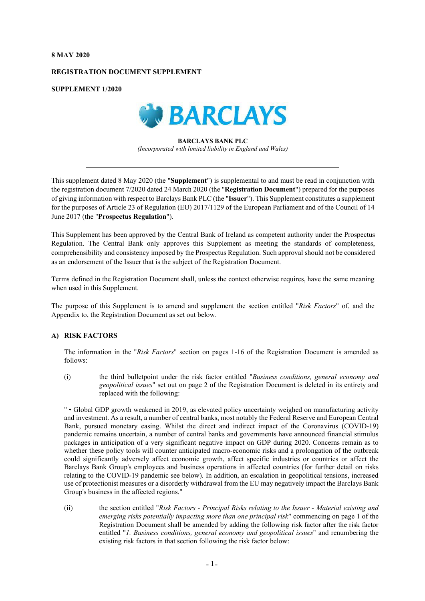#### **8 MAY 2020**

### **REGISTRATION DOCUMENT SUPPLEMENT**

**SUPPLEMENT 1/2020**



**BARCLAYS BANK PLC** *(Incorporated with limited liability in England and Wales)*

This supplement dated 8 May 2020 (the "**Supplement**") is supplemental to and must be read in conjunction with the registration document 7/2020 dated 24 March 2020 (the "**Registration Document**") prepared for the purposes of giving information with respect to Barclays Bank PLC (the "**Issuer**"). This Supplement constitutes a supplement for the purposes of Article 23 of Regulation (EU) 2017/1129 of the European Parliament and of the Council of 14 June 2017 (the "**Prospectus Regulation**").

This Supplement has been approved by the Central Bank of Ireland as competent authority under the Prospectus Regulation. The Central Bank only approves this Supplement as meeting the standards of completeness, comprehensibility and consistency imposed by the Prospectus Regulation. Such approval should not be considered as an endorsement of the Issuer that is the subject of the Registration Document.

Terms defined in the Registration Document shall, unless the context otherwise requires, have the same meaning when used in this Supplement.

The purpose of this Supplement is to amend and supplement the section entitled "*Risk Factors*" of, and the Appendix to, the Registration Document as set out below.

# **A) RISK FACTORS**

The information in the "*Risk Factors*" section on pages 1-16 of the Registration Document is amended as follows:

(i) the third bulletpoint under the risk factor entitled "*Business conditions, general economy and geopolitical issues*" set out on page 2 of the Registration Document is deleted in its entirety and replaced with the following:

" • Global GDP growth weakened in 2019, as elevated policy uncertainty weighed on manufacturing activity and investment. As a result, a number of central banks, most notably the Federal Reserve and European Central Bank, pursued monetary easing. Whilst the direct and indirect impact of the Coronavirus (COVID-19) pandemic remains uncertain, a number of central banks and governments have announced financial stimulus packages in anticipation of a very significant negative impact on GDP during 2020. Concerns remain as to whether these policy tools will counter anticipated macro-economic risks and a prolongation of the outbreak could significantly adversely affect economic growth, affect specific industries or countries or affect the Barclays Bank Group's employees and business operations in affected countries (for further detail on risks relating to the COVID-19 pandemic see below). In addition, an escalation in geopolitical tensions, increased use of protectionist measures or a disorderly withdrawal from the EU may negatively impact the Barclays Bank Group's business in the affected regions."

(ii) the section entitled "*Risk Factors - Principal Risks relating to the Issuer - Material existing and emerging risks potentially impacting more than one principal risk*" commencing on page 1 of the Registration Document shall be amended by adding the following risk factor after the risk factor entitled "*1. Business conditions, general economy and geopolitical issues*" and renumbering the existing risk factors in that section following the risk factor below: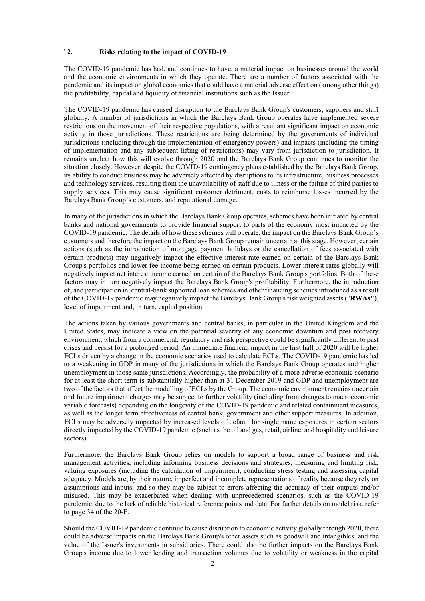### "**2. Risks relating to the impact of COVID-19**

The COVID-19 pandemic has had, and continues to have, a material impact on businesses around the world and the economic environments in which they operate. There are a number of factors associated with the pandemic and its impact on global economies that could have a material adverse effect on (among other things) the profitability, capital and liquidity of financial institutions such as the Issuer.

The COVID-19 pandemic has caused disruption to the Barclays Bank Group's customers, suppliers and staff globally. A number of jurisdictions in which the Barclays Bank Group operates have implemented severe restrictions on the movement of their respective populations, with a resultant significant impact on economic activity in those jurisdictions. These restrictions are being determined by the governments of individual jurisdictions (including through the implementation of emergency powers) and impacts (including the timing of implementation and any subsequent lifting of restrictions) may vary from jurisdiction to jurisdiction. It remains unclear how this will evolve through 2020 and the Barclays Bank Group continues to monitor the situation closely. However, despite the COVID-19 contingency plans established by the Barclays Bank Group, its ability to conduct business may be adversely affected by disruptions to its infrastructure, business processes and technology services, resulting from the unavailability of staff due to illness or the failure of third parties to supply services. This may cause significant customer detriment, costs to reimburse losses incurred by the Barclays Bank Group's customers, and reputational damage.

In many of the jurisdictions in which the Barclays Bank Group operates, schemes have been initiated by central banks and national governments to provide financial support to parts of the economy most impacted by the COVID-19 pandemic. The details of how these schemes will operate, the impact on the Barclays Bank Group's customers and therefore the impact on the Barclays Bank Group remain uncertain at this stage. However, certain actions (such as the introduction of mortgage payment holidays or the cancellation of fees associated with certain products) may negatively impact the effective interest rate earned on certain of the Barclays Bank Group's portfolios and lower fee income being earned on certain products. Lower interest rates globally will negatively impact net interest income earned on certain of the Barclays Bank Group's portfolios. Both of these factors may in turn negatively impact the Barclays Bank Group's profitability. Furthermore, the introduction of, and participation in, central-bank supported loan schemes and other financing schemes introduced as a result of the COVID-19 pandemic may negatively impact the Barclays Bank Group's risk weighted assets ("**RWAs"**), level of impairment and, in turn, capital position.

The actions taken by various governments and central banks, in particular in the United Kingdom and the United States, may indicate a view on the potential severity of any economic downturn and post recovery environment, which from a commercial, regulatory and risk perspective could be significantly different to past crises and persist for a prolonged period. An immediate financial impact in the first half of 2020 will be higher ECLs driven by a change in the economic scenarios used to calculate ECLs. The COVID-19 pandemic has led to a weakening in GDP in many of the jurisdictions in which the Barclays Bank Group operates and higher unemployment in those same jurisdictions. Accordingly, the probability of a more adverse economic scenario for at least the short term is substantially higher than at 31 December 2019 and GDP and unemployment are two of the factors that affect the modelling of ECLs by the Group. The economic environment remains uncertain and future impairment charges may be subject to further volatility (including from changes to macroeconomic variable forecasts) depending on the longevity of the COVID-19 pandemic and related containment measures, as well as the longer term effectiveness of central bank, government and other support measures. In addition, ECLs may be adversely impacted by increased levels of default for single name exposures in certain sectors directly impacted by the COVID-19 pandemic (such as the oil and gas, retail, airline, and hospitality and leisure sectors).

Furthermore, the Barclays Bank Group relies on models to support a broad range of business and risk management activities, including informing business decisions and strategies, measuring and limiting risk, valuing exposures (including the calculation of impairment), conducting stress testing and assessing capital adequacy. Models are, by their nature, imperfect and incomplete representations of reality because they rely on assumptions and inputs, and so they may be subject to errors affecting the accuracy of their outputs and/or misused. This may be exacerbated when dealing with unprecedented scenarios, such as the COVID-19 pandemic, due to the lack of reliable historical reference points and data. For further details on model risk, refer to page 34 of the 20-F.

Should the COVID-19 pandemic continue to cause disruption to economic activity globally through 2020, there could be adverse impacts on the Barclays Bank Group's other assets such as goodwill and intangibles, and the value of the Issuer's investments in subsidiaries. There could also be further impacts on the Barclays Bank Group's income due to lower lending and transaction volumes due to volatility or weakness in the capital